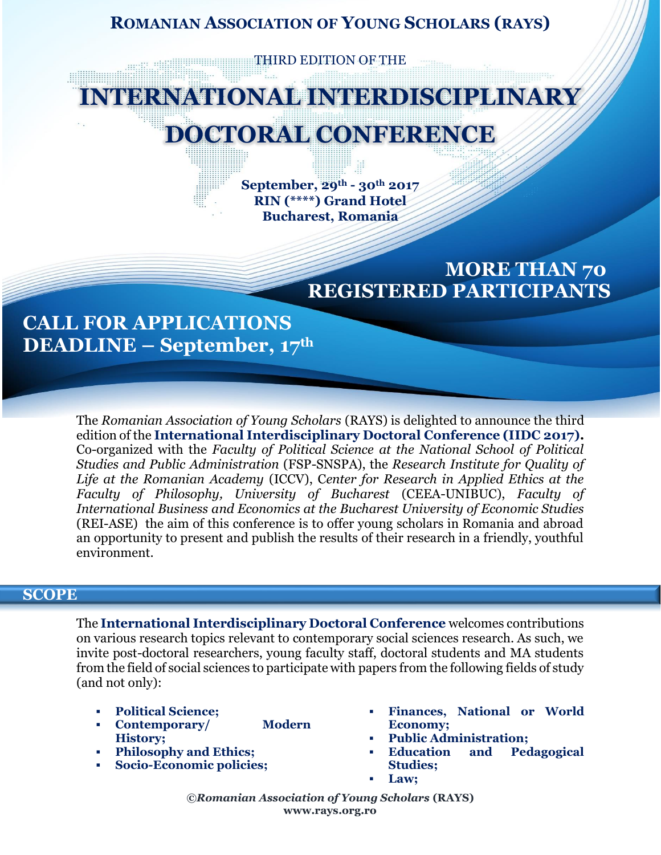### **ROMANIAN ASSOCIATION OF YOUNG SCHOLARS (RAYS)**

**THIRD EDITION OF THE** 

# **INTERNATIONAL INTERDISCIPLINARY DOCTORAL CONFERENCE**

**September, 29th - 30th 2017 RIN (\*\*\*\*) Grand Hotel Bucharest, Romania**

## **MORE THAN 70 REGISTERED PARTICIPANTS**

## **CALL FOR APPLICATIONS DEADLINE – September, 17th**

The *Romanian Association of Young Scholars* (RAYS) is delighted to announce the third edition of the **International Interdisciplinary Doctoral Conference (IIDC 2017).** Co-organized with the *Faculty of Political Science at the National School of Political Studies and Public Administration* (FSP-SNSPA), the *Research Institute for Quality of Life at the Romanian Academy* (ICCV), C*enter for Research in Applied Ethics at the Faculty of Philosophy, University of Bucharest* (CEEA-UNIBUC), *Faculty of International Business and Economics at the Bucharest University of Economic Studies* (REI-ASE) the aim of this conference is to offer young scholars in Romania and abroad an opportunity to present and publish the results of their research in a friendly, youthful environment.

#### **SCOPE**

The **International Interdisciplinary Doctoral Conference** welcomes contributions on various research topics relevant to contemporary social sciences research. As such, we invite post-doctoral researchers, young faculty staff, doctoral students and MA students from the field of social sciences to participate with papers from the following fields of study (and not only):

- **Political Science;**
- **Contemporary/ Modern History;**
- **Philosophy and Ethics;**
- **Socio-Economic policies;**
- **Finances, National or World Economy;**
- **Public Administration;**
- **Education and Pedagogical Studies;**
- **Law;**

*©Romanian Association of Young Scholars* **(RAYS) www.rays.org.ro**